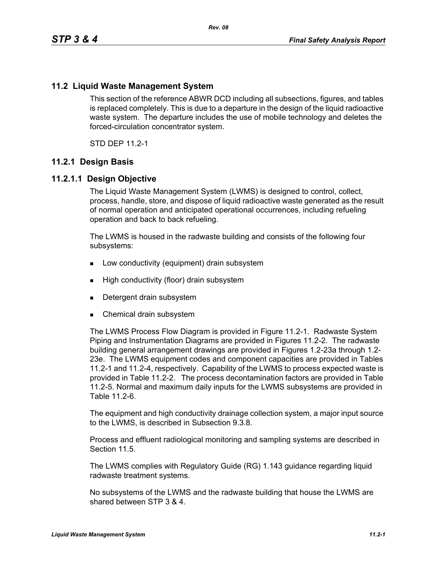# **11.2 Liquid Waste Management System**

This section of the reference ABWR DCD including all subsections, figures, and tables is replaced completely. This is due to a departure in the design of the liquid radioactive waste system. The departure includes the use of mobile technology and deletes the forced-circulation concentrator system.

STD DEP 11.2-1

#### **11.2.1 Design Basis**

#### **11.2.1.1 Design Objective**

The Liquid Waste Management System (LWMS) is designed to control, collect, process, handle, store, and dispose of liquid radioactive waste generated as the result of normal operation and anticipated operational occurrences, including refueling operation and back to back refueling.

The LWMS is housed in the radwaste building and consists of the following four subsystems:

- **Low conductivity (equipment) drain subsystem**
- **High conductivity (floor) drain subsystem**
- Detergent drain subsystem
- **Chemical drain subsystem**

The LWMS Process Flow Diagram is provided in Figure 11.2-1. Radwaste System Piping and Instrumentation Diagrams are provided in Figures 11.2-2. The radwaste building general arrangement drawings are provided in Figures 1.2-23a through 1.2- 23e. The LWMS equipment codes and component capacities are provided in Tables 11.2-1 and 11.2-4, respectively. Capability of the LWMS to process expected waste is provided in Table 11.2-2. The process decontamination factors are provided in Table 11.2-5. Normal and maximum daily inputs for the LWMS subsystems are provided in Table 11.2-6.

The equipment and high conductivity drainage collection system, a major input source to the LWMS, is described in Subsection 9.3.8.

Process and effluent radiological monitoring and sampling systems are described in Section 11.5

The LWMS complies with Regulatory Guide (RG) 1.143 guidance regarding liquid radwaste treatment systems.

No subsystems of the LWMS and the radwaste building that house the LWMS are shared between STP 3 & 4.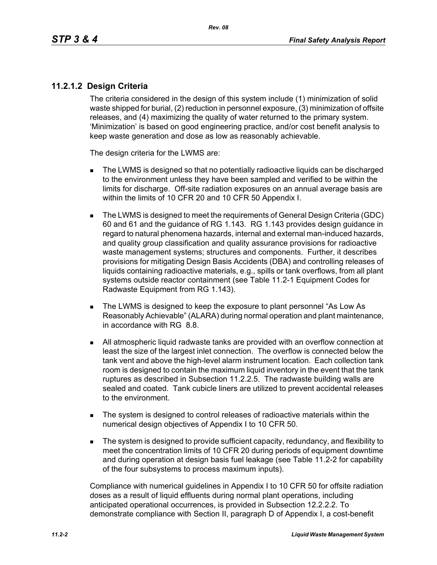# **11.2.1.2 Design Criteria**

The criteria considered in the design of this system include (1) minimization of solid waste shipped for burial, (2) reduction in personnel exposure, (3) minimization of offsite releases, and (4) maximizing the quality of water returned to the primary system. 'Minimization' is based on good engineering practice, and/or cost benefit analysis to keep waste generation and dose as low as reasonably achievable.

The design criteria for the LWMS are:

- The LWMS is designed so that no potentially radioactive liquids can be discharged to the environment unless they have been sampled and verified to be within the limits for discharge. Off-site radiation exposures on an annual average basis are within the limits of 10 CFR 20 and 10 CFR 50 Appendix I.
- The LWMS is designed to meet the requirements of General Design Criteria (GDC) 60 and 61 and the guidance of RG 1.143. RG 1.143 provides design guidance in regard to natural phenomena hazards, internal and external man-induced hazards, and quality group classification and quality assurance provisions for radioactive waste management systems; structures and components. Further, it describes provisions for mitigating Design Basis Accidents (DBA) and controlling releases of liquids containing radioactive materials, e.g., spills or tank overflows, from all plant systems outside reactor containment (see Table 11.2-1 Equipment Codes for Radwaste Equipment from RG 1.143).
- The LWMS is designed to keep the exposure to plant personnel "As Low As Reasonably Achievable" (ALARA) during normal operation and plant maintenance, in accordance with RG 8.8.
- All atmospheric liquid radwaste tanks are provided with an overflow connection at least the size of the largest inlet connection. The overflow is connected below the tank vent and above the high-level alarm instrument location. Each collection tank room is designed to contain the maximum liquid inventory in the event that the tank ruptures as described in Subsection 11.2.2.5. The radwaste building walls are sealed and coated. Tank cubicle liners are utilized to prevent accidental releases to the environment.
- The system is designed to control releases of radioactive materials within the numerical design objectives of Appendix I to 10 CFR 50.
- The system is designed to provide sufficient capacity, redundancy, and flexibility to meet the concentration limits of 10 CFR 20 during periods of equipment downtime and during operation at design basis fuel leakage (see Table 11.2-2 for capability of the four subsystems to process maximum inputs).

Compliance with numerical guidelines in Appendix I to 10 CFR 50 for offsite radiation doses as a result of liquid effluents during normal plant operations, including anticipated operational occurrences, is provided in Subsection 12.2.2.2. To demonstrate compliance with Section II, paragraph D of Appendix I, a cost-benefit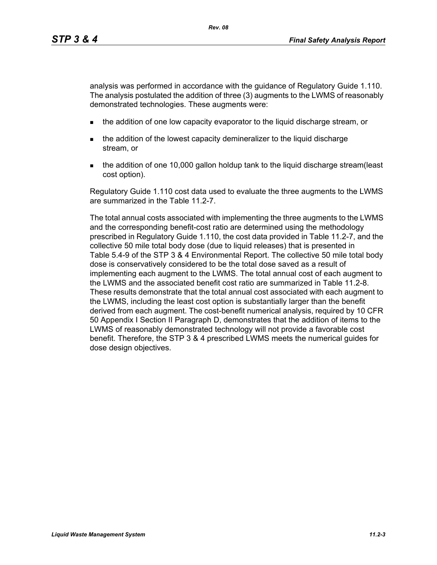analysis was performed in accordance with the guidance of Regulatory Guide 1.110. The analysis postulated the addition of three (3) augments to the LWMS of reasonably demonstrated technologies. These augments were:

- **the addition of one low capacity evaporator to the liquid discharge stream, or**
- the addition of the lowest capacity demineralizer to the liquid discharge stream, or
- the addition of one 10,000 gallon holdup tank to the liquid discharge stream(least cost option).

Regulatory Guide 1.110 cost data used to evaluate the three augments to the LWMS are summarized in the Table 11.2-7.

The total annual costs associated with implementing the three augments to the LWMS and the corresponding benefit-cost ratio are determined using the methodology prescribed in Regulatory Guide 1.110, the cost data provided in Table 11.2-7, and the collective 50 mile total body dose (due to liquid releases) that is presented in Table 5.4-9 of the STP 3 & 4 Environmental Report. The collective 50 mile total body dose is conservatively considered to be the total dose saved as a result of implementing each augment to the LWMS. The total annual cost of each augment to the LWMS and the associated benefit cost ratio are summarized in Table 11.2-8. These results demonstrate that the total annual cost associated with each augment to the LWMS, including the least cost option is substantially larger than the benefit derived from each augment. The cost-benefit numerical analysis, required by 10 CFR 50 Appendix I Section II Paragraph D, demonstrates that the addition of items to the LWMS of reasonably demonstrated technology will not provide a favorable cost benefit. Therefore, the STP 3 & 4 prescribed LWMS meets the numerical guides for dose design objectives.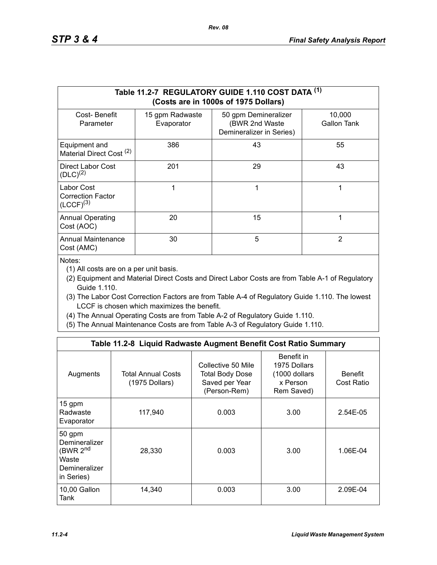|                                                          |                               | Table 11.2-7 REGULATORY GUIDE 1.110 COST DATA (1)<br>(Costs are in 1000s of 1975 Dollars) |                       |
|----------------------------------------------------------|-------------------------------|-------------------------------------------------------------------------------------------|-----------------------|
| Cost-Benefit<br>Parameter                                | 15 gpm Radwaste<br>Evaporator | 50 gpm Demineralizer<br>(BWR 2nd Waste<br>Demineralizer in Series)                        | 10,000<br>Gallon Tank |
| Equipment and<br>Material Direct Cost <sup>(2)</sup>     | 386                           | 43                                                                                        | 55                    |
| Direct Labor Cost<br>$(DLC)^{(2)}$                       | 201                           | 29                                                                                        | 43                    |
| Labor Cost<br><b>Correction Factor</b><br>$(LCCF)^{(3)}$ |                               | 1                                                                                         | 1                     |
| <b>Annual Operating</b><br>Cost (AOC)                    | 20                            | 15                                                                                        | 1                     |
| <b>Annual Maintenance</b><br>Cost (AMC)                  | 30                            | 5                                                                                         | $\mathbf{2}$          |

Notes:

(1) All costs are on a per unit basis.

- (2) Equipment and Material Direct Costs and Direct Labor Costs are from Table A-1 of Regulatory Guide 1.110.
- (3) The Labor Cost Correction Factors are from Table A-4 of Regulatory Guide 1.110. The lowest LCCF is chosen which maximizes the benefit.
- (4) The Annual Operating Costs are from Table A-2 of Regulatory Guide 1.110.
- (5) The Annual Maintenance Costs are from Table A-3 of Regulatory Guide 1.110.

|                                                                                         | Table 11.2-8 Liquid Radwaste Augment Benefit Cost Ratio Summary |                                                                                |                                                                       |                              |
|-----------------------------------------------------------------------------------------|-----------------------------------------------------------------|--------------------------------------------------------------------------------|-----------------------------------------------------------------------|------------------------------|
| Augments                                                                                | <b>Total Annual Costs</b><br>(1975 Dollars)                     | Collective 50 Mile<br><b>Total Body Dose</b><br>Saved per Year<br>(Person-Rem) | Benefit in<br>1975 Dollars<br>(1000 dollars<br>x Person<br>Rem Saved) | <b>Benefit</b><br>Cost Ratio |
| 15 gpm<br>Radwaste<br>Evaporator                                                        | 117,940                                                         | 0.003                                                                          | 3.00                                                                  | 2.54E-05                     |
| 50 gpm<br>Demineralizer<br>(BWR 2 <sup>nd</sup><br>Waste<br>Demineralizer<br>in Series) | 28,330                                                          | 0.003                                                                          | 3.00                                                                  | 1.06E-04                     |
| 10,00 Gallon<br>Tank                                                                    | 14,340                                                          | 0.003                                                                          | 3.00                                                                  | 2.09E-04                     |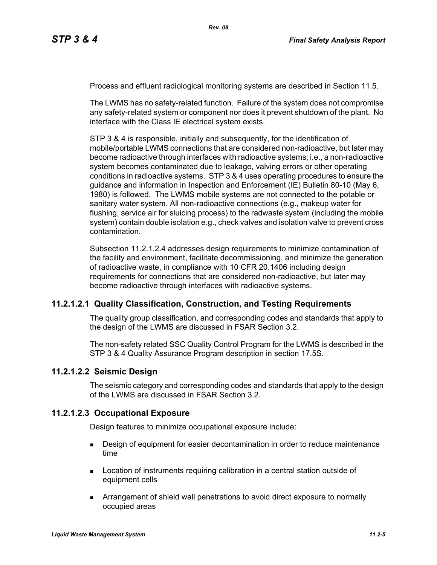Process and effluent radiological monitoring systems are described in Section 11.5.

*Rev. 08*

The LWMS has no safety-related function. Failure of the system does not compromise any safety-related system or component nor does it prevent shutdown of the plant. No interface with the Class IE electrical system exists.

STP 3 & 4 is responsible, initially and subsequently, for the identification of mobile/portable LWMS connections that are considered non-radioactive, but later may become radioactive through interfaces with radioactive systems; i.e., a non-radioactive system becomes contaminated due to leakage, valving errors or other operating conditions in radioactive systems. STP 3 & 4 uses operating procedures to ensure the guidance and information in Inspection and Enforcement (IE) Bulletin 80-10 (May 6, 1980) is followed. The LWMS mobile systems are not connected to the potable or sanitary water system. All non-radioactive connections (e.g., makeup water for flushing, service air for sluicing process) to the radwaste system (including the mobile system) contain double isolation e.g., check valves and isolation valve to prevent cross contamination.

Subsection 11.2.1.2.4 addresses design requirements to minimize contamination of the facility and environment, facilitate decommissioning, and minimize the generation of radioactive waste, in compliance with 10 CFR 20.1406 including design requirements for connections that are considered non-radioactive, but later may become radioactive through interfaces with radioactive systems.

#### **11.2.1.2.1 Quality Classification, Construction, and Testing Requirements**

The quality group classification, and corresponding codes and standards that apply to the design of the LWMS are discussed in FSAR Section 3.2.

The non-safety related SSC Quality Control Program for the LWMS is described in the STP 3 & 4 Quality Assurance Program description in section 17.5S.

#### **11.2.1.2.2 Seismic Design**

The seismic category and corresponding codes and standards that apply to the design of the LWMS are discussed in FSAR Section 3.2.

#### **11.2.1.2.3 Occupational Exposure**

Design features to minimize occupational exposure include:

- **Design of equipment for easier decontamination in order to reduce maintenance** time
- **Location of instruments requiring calibration in a central station outside of** equipment cells
- Arrangement of shield wall penetrations to avoid direct exposure to normally occupied areas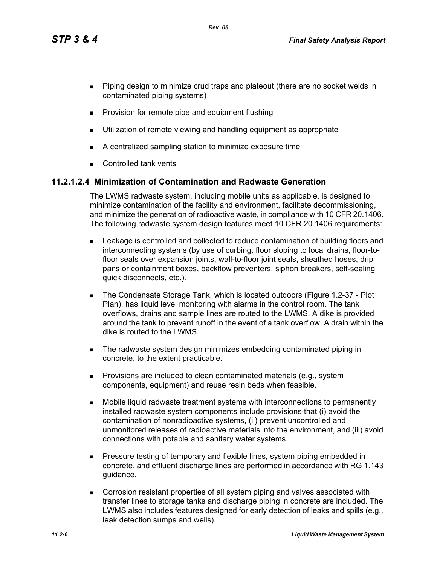*Rev. 08*

- **Piping design to minimize crud traps and plateout (there are no socket welds in** contaminated piping systems)
- **Provision for remote pipe and equipment flushing**
- **Utilization of remote viewing and handling equipment as appropriate**
- A centralized sampling station to minimize exposure time
- **Controlled tank vents**

# **11.2.1.2.4 Minimization of Contamination and Radwaste Generation**

The LWMS radwaste system, including mobile units as applicable, is designed to minimize contamination of the facility and environment, facilitate decommissioning, and minimize the generation of radioactive waste, in compliance with 10 CFR 20.1406. The following radwaste system design features meet 10 CFR 20.1406 requirements:

- Leakage is controlled and collected to reduce contamination of building floors and interconnecting systems (by use of curbing, floor sloping to local drains, floor-tofloor seals over expansion joints, wall-to-floor joint seals, sheathed hoses, drip pans or containment boxes, backflow preventers, siphon breakers, self-sealing quick disconnects, etc.).
- The Condensate Storage Tank, which is located outdoors (Figure 1.2-37 Plot Plan), has liquid level monitoring with alarms in the control room. The tank overflows, drains and sample lines are routed to the LWMS. A dike is provided around the tank to prevent runoff in the event of a tank overflow. A drain within the dike is routed to the LWMS.
- The radwaste system design minimizes embedding contaminated piping in concrete, to the extent practicable.
- **Provisions are included to clean contaminated materials (e.g., system** components, equipment) and reuse resin beds when feasible.
- Mobile liquid radwaste treatment systems with interconnections to permanently installed radwaste system components include provisions that (i) avoid the contamination of nonradioactive systems, (ii) prevent uncontrolled and unmonitored releases of radioactive materials into the environment, and (iii) avoid connections with potable and sanitary water systems.
- **Pressure testing of temporary and flexible lines, system piping embedded in** concrete, and effluent discharge lines are performed in accordance with RG 1.143 guidance.
- Corrosion resistant properties of all system piping and valves associated with transfer lines to storage tanks and discharge piping in concrete are included. The LWMS also includes features designed for early detection of leaks and spills (e.g., leak detection sumps and wells).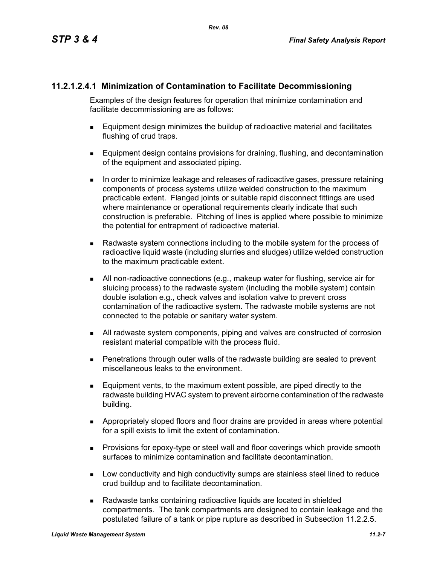# **11.2.1.2.4.1 Minimization of Contamination to Facilitate Decommissioning**

Examples of the design features for operation that minimize contamination and facilitate decommissioning are as follows:

- Equipment design minimizes the buildup of radioactive material and facilitates flushing of crud traps.
- **Equipment design contains provisions for draining, flushing, and decontamination** of the equipment and associated piping.
- In order to minimize leakage and releases of radioactive gases, pressure retaining components of process systems utilize welded construction to the maximum practicable extent. Flanged joints or suitable rapid disconnect fittings are used where maintenance or operational requirements clearly indicate that such construction is preferable. Pitching of lines is applied where possible to minimize the potential for entrapment of radioactive material.
- Radwaste system connections including to the mobile system for the process of radioactive liquid waste (including slurries and sludges) utilize welded construction to the maximum practicable extent.
- All non-radioactive connections (e.g., makeup water for flushing, service air for sluicing process) to the radwaste system (including the mobile system) contain double isolation e.g., check valves and isolation valve to prevent cross contamination of the radioactive system. The radwaste mobile systems are not connected to the potable or sanitary water system.
- All radwaste system components, piping and valves are constructed of corrosion resistant material compatible with the process fluid.
- Penetrations through outer walls of the radwaste building are sealed to prevent miscellaneous leaks to the environment.
- Equipment vents, to the maximum extent possible, are piped directly to the radwaste building HVAC system to prevent airborne contamination of the radwaste building.
- Appropriately sloped floors and floor drains are provided in areas where potential for a spill exists to limit the extent of contamination.
- **Provisions for epoxy-type or steel wall and floor coverings which provide smooth** surfaces to minimize contamination and facilitate decontamination.
- **Low conductivity and high conductivity sumps are stainless steel lined to reduce** crud buildup and to facilitate decontamination.
- Radwaste tanks containing radioactive liquids are located in shielded compartments. The tank compartments are designed to contain leakage and the postulated failure of a tank or pipe rupture as described in Subsection 11.2.2.5.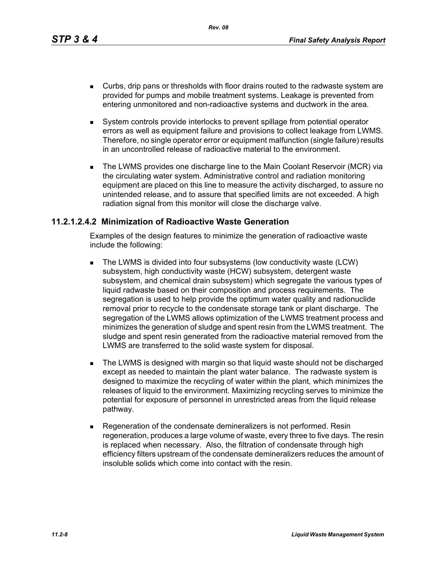*Rev. 08*

- Curbs, drip pans or thresholds with floor drains routed to the radwaste system are provided for pumps and mobile treatment systems. Leakage is prevented from entering unmonitored and non-radioactive systems and ductwork in the area.
- System controls provide interlocks to prevent spillage from potential operator errors as well as equipment failure and provisions to collect leakage from LWMS. Therefore, no single operator error or equipment malfunction (single failure) results in an uncontrolled release of radioactive material to the environment.
- The LWMS provides one discharge line to the Main Coolant Reservoir (MCR) via the circulating water system. Administrative control and radiation monitoring equipment are placed on this line to measure the activity discharged, to assure no unintended release, and to assure that specified limits are not exceeded. A high radiation signal from this monitor will close the discharge valve.

## **11.2.1.2.4.2 Minimization of Radioactive Waste Generation**

Examples of the design features to minimize the generation of radioactive waste include the following:

- The LWMS is divided into four subsystems (low conductivity waste (LCW) subsystem, high conductivity waste (HCW) subsystem, detergent waste subsystem, and chemical drain subsystem) which segregate the various types of liquid radwaste based on their composition and process requirements. The segregation is used to help provide the optimum water quality and radionuclide removal prior to recycle to the condensate storage tank or plant discharge. The segregation of the LWMS allows optimization of the LWMS treatment process and minimizes the generation of sludge and spent resin from the LWMS treatment. The sludge and spent resin generated from the radioactive material removed from the LWMS are transferred to the solid waste system for disposal.
- **The LWMS is designed with margin so that liquid waste should not be discharged** except as needed to maintain the plant water balance. The radwaste system is designed to maximize the recycling of water within the plant, which minimizes the releases of liquid to the environment. Maximizing recycling serves to minimize the potential for exposure of personnel in unrestricted areas from the liquid release pathway.
- Regeneration of the condensate demineralizers is not performed. Resin regeneration, produces a large volume of waste, every three to five days. The resin is replaced when necessary. Also, the filtration of condensate through high efficiency filters upstream of the condensate demineralizers reduces the amount of insoluble solids which come into contact with the resin.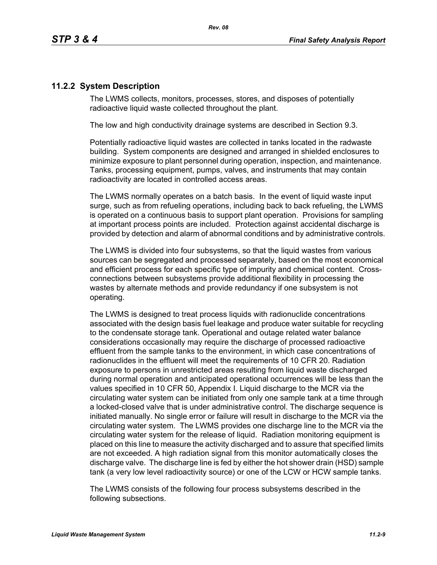# **11.2.2 System Description**

The LWMS collects, monitors, processes, stores, and disposes of potentially radioactive liquid waste collected throughout the plant.

The low and high conductivity drainage systems are described in Section 9.3.

Potentially radioactive liquid wastes are collected in tanks located in the radwaste building. System components are designed and arranged in shielded enclosures to minimize exposure to plant personnel during operation, inspection, and maintenance. Tanks, processing equipment, pumps, valves, and instruments that may contain radioactivity are located in controlled access areas.

The LWMS normally operates on a batch basis. In the event of liquid waste input surge, such as from refueling operations, including back to back refueling, the LWMS is operated on a continuous basis to support plant operation. Provisions for sampling at important process points are included. Protection against accidental discharge is provided by detection and alarm of abnormal conditions and by administrative controls.

The LWMS is divided into four subsystems, so that the liquid wastes from various sources can be segregated and processed separately, based on the most economical and efficient process for each specific type of impurity and chemical content. Crossconnections between subsystems provide additional flexibility in processing the wastes by alternate methods and provide redundancy if one subsystem is not operating.

The LWMS is designed to treat process liquids with radionuclide concentrations associated with the design basis fuel leakage and produce water suitable for recycling to the condensate storage tank. Operational and outage related water balance considerations occasionally may require the discharge of processed radioactive effluent from the sample tanks to the environment, in which case concentrations of radionuclides in the effluent will meet the requirements of 10 CFR 20. Radiation exposure to persons in unrestricted areas resulting from liquid waste discharged during normal operation and anticipated operational occurrences will be less than the values specified in 10 CFR 50, Appendix I. Liquid discharge to the MCR via the circulating water system can be initiated from only one sample tank at a time through a locked-closed valve that is under administrative control. The discharge sequence is initiated manually. No single error or failure will result in discharge to the MCR via the circulating water system. The LWMS provides one discharge line to the MCR via the circulating water system for the release of liquid. Radiation monitoring equipment is placed on this line to measure the activity discharged and to assure that specified limits are not exceeded. A high radiation signal from this monitor automatically closes the discharge valve. The discharge line is fed by either the hot shower drain (HSD) sample tank (a very low level radioactivity source) or one of the LCW or HCW sample tanks.

The LWMS consists of the following four process subsystems described in the following subsections.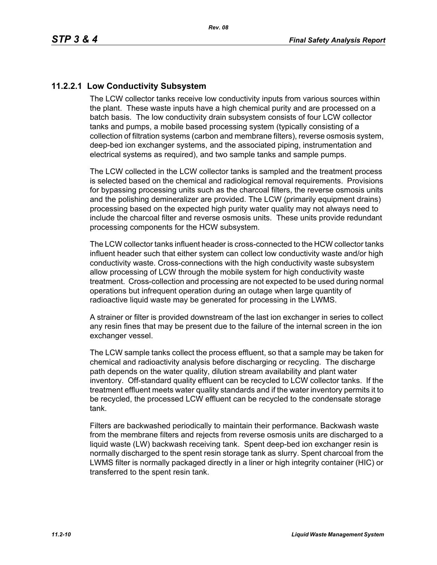# **11.2.2.1 Low Conductivity Subsystem**

The LCW collector tanks receive low conductivity inputs from various sources within the plant. These waste inputs have a high chemical purity and are processed on a batch basis. The low conductivity drain subsystem consists of four LCW collector tanks and pumps, a mobile based processing system (typically consisting of a collection of filtration systems (carbon and membrane filters), reverse osmosis system, deep-bed ion exchanger systems, and the associated piping, instrumentation and electrical systems as required), and two sample tanks and sample pumps.

The LCW collected in the LCW collector tanks is sampled and the treatment process is selected based on the chemical and radiological removal requirements. Provisions for bypassing processing units such as the charcoal filters, the reverse osmosis units and the polishing demineralizer are provided. The LCW (primarily equipment drains) processing based on the expected high purity water quality may not always need to include the charcoal filter and reverse osmosis units. These units provide redundant processing components for the HCW subsystem.

The LCW collector tanks influent header is cross-connected to the HCW collector tanks influent header such that either system can collect low conductivity waste and/or high conductivity waste. Cross-connections with the high conductivity waste subsystem allow processing of LCW through the mobile system for high conductivity waste treatment. Cross-collection and processing are not expected to be used during normal operations but infrequent operation during an outage when large quantity of radioactive liquid waste may be generated for processing in the LWMS.

A strainer or filter is provided downstream of the last ion exchanger in series to collect any resin fines that may be present due to the failure of the internal screen in the ion exchanger vessel.

The LCW sample tanks collect the process effluent, so that a sample may be taken for chemical and radioactivity analysis before discharging or recycling. The discharge path depends on the water quality, dilution stream availability and plant water inventory. Off-standard quality effluent can be recycled to LCW collector tanks. If the treatment effluent meets water quality standards and if the water inventory permits it to be recycled, the processed LCW effluent can be recycled to the condensate storage tank.

Filters are backwashed periodically to maintain their performance. Backwash waste from the membrane filters and rejects from reverse osmosis units are discharged to a liquid waste (LW) backwash receiving tank. Spent deep-bed ion exchanger resin is normally discharged to the spent resin storage tank as slurry. Spent charcoal from the LWMS filter is normally packaged directly in a liner or high integrity container (HIC) or transferred to the spent resin tank.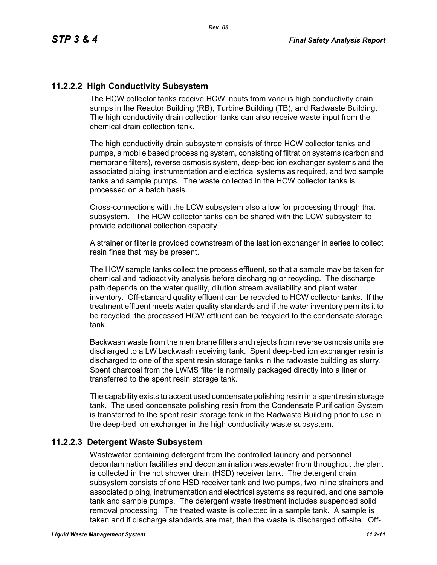# **11.2.2.2 High Conductivity Subsystem**

The HCW collector tanks receive HCW inputs from various high conductivity drain sumps in the Reactor Building (RB), Turbine Building (TB), and Radwaste Building. The high conductivity drain collection tanks can also receive waste input from the chemical drain collection tank.

The high conductivity drain subsystem consists of three HCW collector tanks and pumps, a mobile based processing system, consisting of filtration systems (carbon and membrane filters), reverse osmosis system, deep-bed ion exchanger systems and the associated piping, instrumentation and electrical systems as required, and two sample tanks and sample pumps. The waste collected in the HCW collector tanks is processed on a batch basis.

Cross-connections with the LCW subsystem also allow for processing through that subsystem. The HCW collector tanks can be shared with the LCW subsystem to provide additional collection capacity.

A strainer or filter is provided downstream of the last ion exchanger in series to collect resin fines that may be present.

The HCW sample tanks collect the process effluent, so that a sample may be taken for chemical and radioactivity analysis before discharging or recycling. The discharge path depends on the water quality, dilution stream availability and plant water inventory. Off-standard quality effluent can be recycled to HCW collector tanks. If the treatment effluent meets water quality standards and if the water inventory permits it to be recycled, the processed HCW effluent can be recycled to the condensate storage tank.

Backwash waste from the membrane filters and rejects from reverse osmosis units are discharged to a LW backwash receiving tank. Spent deep-bed ion exchanger resin is discharged to one of the spent resin storage tanks in the radwaste building as slurry. Spent charcoal from the LWMS filter is normally packaged directly into a liner or transferred to the spent resin storage tank.

The capability exists to accept used condensate polishing resin in a spent resin storage tank. The used condensate polishing resin from the Condensate Purification System is transferred to the spent resin storage tank in the Radwaste Building prior to use in the deep-bed ion exchanger in the high conductivity waste subsystem.

#### **11.2.2.3 Detergent Waste Subsystem**

Wastewater containing detergent from the controlled laundry and personnel decontamination facilities and decontamination wastewater from throughout the plant is collected in the hot shower drain (HSD) receiver tank. The detergent drain subsystem consists of one HSD receiver tank and two pumps, two inline strainers and associated piping, instrumentation and electrical systems as required, and one sample tank and sample pumps. The detergent waste treatment includes suspended solid removal processing. The treated waste is collected in a sample tank. A sample is taken and if discharge standards are met, then the waste is discharged off-site. Off-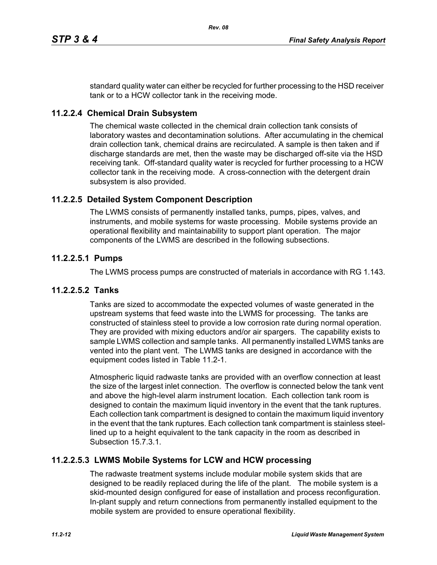standard quality water can either be recycled for further processing to the HSD receiver tank or to a HCW collector tank in the receiving mode.

## **11.2.2.4 Chemical Drain Subsystem**

The chemical waste collected in the chemical drain collection tank consists of laboratory wastes and decontamination solutions. After accumulating in the chemical drain collection tank, chemical drains are recirculated. A sample is then taken and if discharge standards are met, then the waste may be discharged off-site via the HSD receiving tank. Off-standard quality water is recycled for further processing to a HCW collector tank in the receiving mode. A cross-connection with the detergent drain subsystem is also provided.

## **11.2.2.5 Detailed System Component Description**

The LWMS consists of permanently installed tanks, pumps, pipes, valves, and instruments, and mobile systems for waste processing. Mobile systems provide an operational flexibility and maintainability to support plant operation. The major components of the LWMS are described in the following subsections.

#### **11.2.2.5.1 Pumps**

The LWMS process pumps are constructed of materials in accordance with RG 1.143.

#### **11.2.2.5.2 Tanks**

Tanks are sized to accommodate the expected volumes of waste generated in the upstream systems that feed waste into the LWMS for processing. The tanks are constructed of stainless steel to provide a low corrosion rate during normal operation. They are provided with mixing eductors and/or air spargers. The capability exists to sample LWMS collection and sample tanks. All permanently installed LWMS tanks are vented into the plant vent. The LWMS tanks are designed in accordance with the equipment codes listed in Table 11.2-1.

Atmospheric liquid radwaste tanks are provided with an overflow connection at least the size of the largest inlet connection. The overflow is connected below the tank vent and above the high-level alarm instrument location. Each collection tank room is designed to contain the maximum liquid inventory in the event that the tank ruptures. Each collection tank compartment is designed to contain the maximum liquid inventory in the event that the tank ruptures. Each collection tank compartment is stainless steellined up to a height equivalent to the tank capacity in the room as described in Subsection 15.7.3.1.

#### **11.2.2.5.3 LWMS Mobile Systems for LCW and HCW processing**

The radwaste treatment systems include modular mobile system skids that are designed to be readily replaced during the life of the plant. The mobile system is a skid-mounted design configured for ease of installation and process reconfiguration. In-plant supply and return connections from permanently installed equipment to the mobile system are provided to ensure operational flexibility.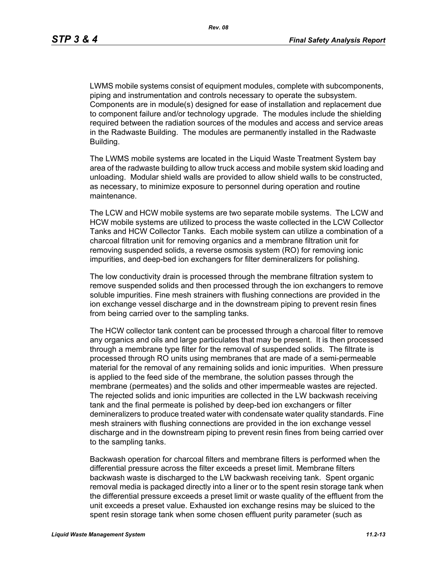LWMS mobile systems consist of equipment modules, complete with subcomponents, piping and instrumentation and controls necessary to operate the subsystem. Components are in module(s) designed for ease of installation and replacement due to component failure and/or technology upgrade. The modules include the shielding required between the radiation sources of the modules and access and service areas in the Radwaste Building. The modules are permanently installed in the Radwaste Building.

The LWMS mobile systems are located in the Liquid Waste Treatment System bay area of the radwaste building to allow truck access and mobile system skid loading and unloading. Modular shield walls are provided to allow shield walls to be constructed, as necessary, to minimize exposure to personnel during operation and routine maintenance.

The LCW and HCW mobile systems are two separate mobile systems. The LCW and HCW mobile systems are utilized to process the waste collected in the LCW Collector Tanks and HCW Collector Tanks. Each mobile system can utilize a combination of a charcoal filtration unit for removing organics and a membrane filtration unit for removing suspended solids, a reverse osmosis system (RO) for removing ionic impurities, and deep-bed ion exchangers for filter demineralizers for polishing.

The low conductivity drain is processed through the membrane filtration system to remove suspended solids and then processed through the ion exchangers to remove soluble impurities. Fine mesh strainers with flushing connections are provided in the ion exchange vessel discharge and in the downstream piping to prevent resin fines from being carried over to the sampling tanks.

The HCW collector tank content can be processed through a charcoal filter to remove any organics and oils and large particulates that may be present. It is then processed through a membrane type filter for the removal of suspended solids. The filtrate is processed through RO units using membranes that are made of a semi-permeable material for the removal of any remaining solids and ionic impurities. When pressure is applied to the feed side of the membrane, the solution passes through the membrane (permeates) and the solids and other impermeable wastes are rejected. The rejected solids and ionic impurities are collected in the LW backwash receiving tank and the final permeate is polished by deep-bed ion exchangers or filter demineralizers to produce treated water with condensate water quality standards. Fine mesh strainers with flushing connections are provided in the ion exchange vessel discharge and in the downstream piping to prevent resin fines from being carried over to the sampling tanks.

Backwash operation for charcoal filters and membrane filters is performed when the differential pressure across the filter exceeds a preset limit. Membrane filters backwash waste is discharged to the LW backwash receiving tank. Spent organic removal media is packaged directly into a liner or to the spent resin storage tank when the differential pressure exceeds a preset limit or waste quality of the effluent from the unit exceeds a preset value. Exhausted ion exchange resins may be sluiced to the spent resin storage tank when some chosen effluent purity parameter (such as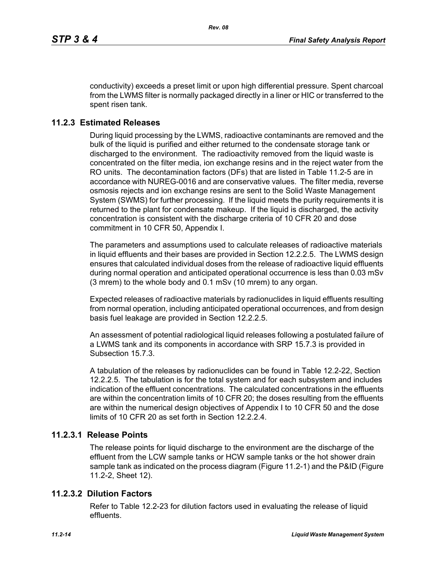conductivity) exceeds a preset limit or upon high differential pressure. Spent charcoal from the LWMS filter is normally packaged directly in a liner or HIC or transferred to the spent risen tank.

# **11.2.3 Estimated Releases**

During liquid processing by the LWMS, radioactive contaminants are removed and the bulk of the liquid is purified and either returned to the condensate storage tank or discharged to the environment. The radioactivity removed from the liquid waste is concentrated on the filter media, ion exchange resins and in the reject water from the RO units. The decontamination factors (DFs) that are listed in Table 11.2-5 are in accordance with NUREG-0016 and are conservative values. The filter media, reverse osmosis rejects and ion exchange resins are sent to the Solid Waste Management System (SWMS) for further processing. If the liquid meets the purity requirements it is returned to the plant for condensate makeup. If the liquid is discharged, the activity concentration is consistent with the discharge criteria of 10 CFR 20 and dose commitment in 10 CFR 50, Appendix I.

The parameters and assumptions used to calculate releases of radioactive materials in liquid effluents and their bases are provided in Section 12.2.2.5. The LWMS design ensures that calculated individual doses from the release of radioactive liquid effluents during normal operation and anticipated operational occurrence is less than 0.03 mSv (3 mrem) to the whole body and 0.1 mSv (10 mrem) to any organ.

Expected releases of radioactive materials by radionuclides in liquid effluents resulting from normal operation, including anticipated operational occurrences, and from design basis fuel leakage are provided in Section 12.2.2.5.

An assessment of potential radiological liquid releases following a postulated failure of a LWMS tank and its components in accordance with SRP 15.7.3 is provided in Subsection 15.7.3.

A tabulation of the releases by radionuclides can be found in Table 12.2-22, Section 12.2.2.5. The tabulation is for the total system and for each subsystem and includes indication of the effluent concentrations. The calculated concentrations in the effluents are within the concentration limits of 10 CFR 20; the doses resulting from the effluents are within the numerical design objectives of Appendix I to 10 CFR 50 and the dose limits of 10 CFR 20 as set forth in Section 12.2.2.4

# **11.2.3.1 Release Points**

The release points for liquid discharge to the environment are the discharge of the effluent from the LCW sample tanks or HCW sample tanks or the hot shower drain sample tank as indicated on the process diagram (Figure 11.2-1) and the P&ID (Figure 11.2-2, Sheet 12).

# **11.2.3.2 Dilution Factors**

Refer to Table 12.2-23 for dilution factors used in evaluating the release of liquid effluents.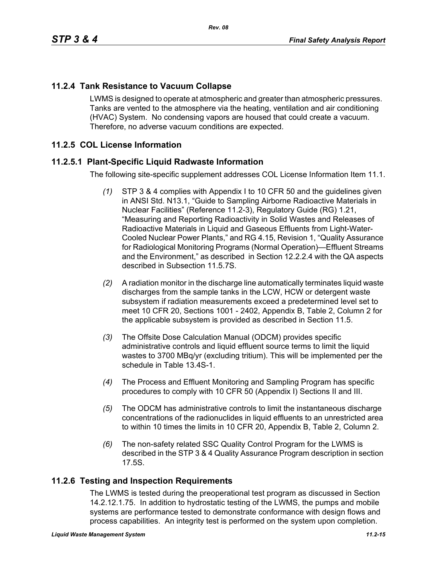# **11.2.4 Tank Resistance to Vacuum Collapse**

LWMS is designed to operate at atmospheric and greater than atmospheric pressures. Tanks are vented to the atmosphere via the heating, ventilation and air conditioning (HVAC) System. No condensing vapors are housed that could create a vacuum. Therefore, no adverse vacuum conditions are expected.

# **11.2.5 COL License Information**

# **11.2.5.1 Plant-Specific Liquid Radwaste Information**

The following site-specific supplement addresses COL License Information Item 11.1.

- *(1)* STP 3 & 4 complies with Appendix I to 10 CFR 50 and the guidelines given in ANSI Std. N13.1, "Guide to Sampling Airborne Radioactive Materials in Nuclear Facilities" (Reference 11.2-3), Regulatory Guide (RG) 1.21, "Measuring and Reporting Radioactivity in Solid Wastes and Releases of Radioactive Materials in Liquid and Gaseous Effluents from Light-Water-Cooled Nuclear Power Plants," and RG 4.15, Revision 1, "Quality Assurance for Radiological Monitoring Programs (Normal Operation)—Effluent Streams and the Environment," as described in Section 12.2.2.4 with the QA aspects described in Subsection 11.5.7S.
- *(2)* A radiation monitor in the discharge line automatically terminates liquid waste discharges from the sample tanks in the LCW, HCW or detergent waste subsystem if radiation measurements exceed a predetermined level set to meet 10 CFR 20, Sections 1001 - 2402, Appendix B, Table 2, Column 2 for the applicable subsystem is provided as described in Section 11.5.
- *(3)* The Offsite Dose Calculation Manual (ODCM) provides specific administrative controls and liquid effluent source terms to limit the liquid wastes to 3700 MBq/yr (excluding tritium). This will be implemented per the schedule in Table 13.4S-1.
- *(4)* The Process and Effluent Monitoring and Sampling Program has specific procedures to comply with 10 CFR 50 (Appendix I) Sections II and III.
- *(5)* The ODCM has administrative controls to limit the instantaneous discharge concentrations of the radionuclides in liquid effluents to an unrestricted area to within 10 times the limits in 10 CFR 20, Appendix B, Table 2, Column 2.
- *(6)* The non-safety related SSC Quality Control Program for the LWMS is described in the STP 3 & 4 Quality Assurance Program description in section 17.5S.

#### **11.2.6 Testing and Inspection Requirements**

The LWMS is tested during the preoperational test program as discussed in Section 14.2.12.1.75. In addition to hydrostatic testing of the LWMS, the pumps and mobile systems are performance tested to demonstrate conformance with design flows and process capabilities. An integrity test is performed on the system upon completion.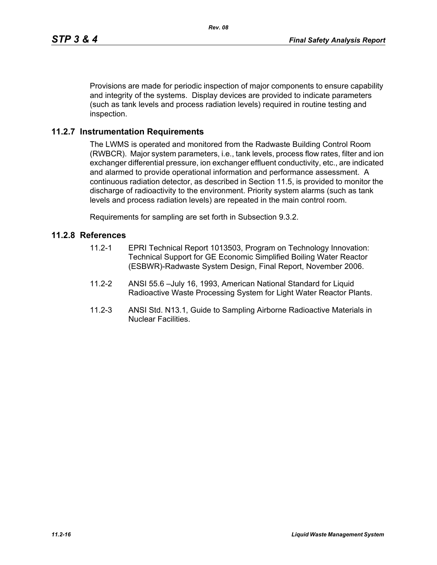Provisions are made for periodic inspection of major components to ensure capability and integrity of the systems. Display devices are provided to indicate parameters (such as tank levels and process radiation levels) required in routine testing and inspection.

#### **11.2.7 Instrumentation Requirements**

The LWMS is operated and monitored from the Radwaste Building Control Room (RWBCR). Major system parameters, i.e., tank levels, process flow rates, filter and ion exchanger differential pressure, ion exchanger effluent conductivity, etc., are indicated and alarmed to provide operational information and performance assessment. A continuous radiation detector, as described in Section 11.5, is provided to monitor the discharge of radioactivity to the environment. Priority system alarms (such as tank levels and process radiation levels) are repeated in the main control room.

Requirements for sampling are set forth in Subsection 9.3.2.

#### **11.2.8 References**

- 11.2-1 EPRI Technical Report 1013503, Program on Technology Innovation: Technical Support for GE Economic Simplified Boiling Water Reactor (ESBWR)-Radwaste System Design, Final Report, November 2006.
- 11.2-2 ANSI 55.6 –July 16, 1993, American National Standard for Liquid Radioactive Waste Processing System for Light Water Reactor Plants.
- 11.2-3 ANSI Std. N13.1, Guide to Sampling Airborne Radioactive Materials in Nuclear Facilities.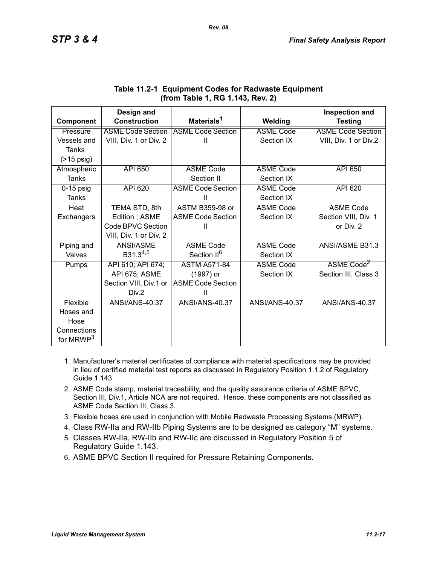|                       | Design and               |                          |                       | <b>Inspection and</b>    |
|-----------------------|--------------------------|--------------------------|-----------------------|--------------------------|
| Component             | <b>Construction</b>      | Materials <sup>1</sup>   | Welding               | <b>Testing</b>           |
| Pressure              | <b>ASME Code Section</b> | <b>ASME Code Section</b> | <b>ASME Code</b>      | <b>ASME Code Section</b> |
| Vessels and           | VIII, Div. 1 or Div. 2   | $\mathbf{I}$             | Section IX            | VIII, Div. 1 or Div.2    |
| <b>Tanks</b>          |                          |                          |                       |                          |
| $($ >15 psig)         |                          |                          |                       |                          |
| Atmospheric           | <b>API 650</b>           | <b>ASME Code</b>         | <b>ASME Code</b>      | API 650                  |
| Tanks                 |                          | Section II               | Section IX            |                          |
| $0-15$ psig           | <b>API 620</b>           | <b>ASME Code Section</b> | <b>ASME Code</b>      | API 620                  |
| Tanks                 |                          | Ш                        | Section IX            |                          |
| Heat                  | TEMA STD, 8th            | <b>ASTM B359-98 or</b>   | <b>ASME Code</b>      | <b>ASME Code</b>         |
| Exchangers            | Edition; ASME            | <b>ASME Code Section</b> | Section IX            | Section VIII, Div. 1     |
|                       | Code BPVC Section        | Ш                        |                       | or Div. 2                |
|                       | VIII, Div. 1 or Div. 2   |                          |                       |                          |
| Piping and            | ANSI/ASME                | <b>ASME Code</b>         | <b>ASME Code</b>      | <b>ANSI/ASME B31.3</b>   |
| Valves                | B31.3 <sup>4,5</sup>     | Section II <sup>6</sup>  | Section IX            |                          |
| Pumps                 | API 610; API 674;        | <b>ASTM A571-84</b>      | <b>ASME Code</b>      | ASME Code <sup>2</sup>   |
|                       | API 675; ASME            | (1997) or                | Section IX            | Section III, Class 3     |
|                       | Section VIII, Div.1 or   | <b>ASME Code Section</b> |                       |                          |
|                       | Div.2                    | Ш                        |                       |                          |
| Flexible              | <b>ANSI/ANS-40.37</b>    | ANSI/ANS-40.37           | <b>ANSI/ANS-40.37</b> | <b>ANSI/ANS-40.37</b>    |
| Hoses and             |                          |                          |                       |                          |
| Hose                  |                          |                          |                       |                          |
| Connections           |                          |                          |                       |                          |
| for MRWP <sup>3</sup> |                          |                          |                       |                          |

# **Table 11.2-1 Equipment Codes for Radwaste Equipment (from Table 1, RG 1.143, Rev. 2)**

- 1. Manufacturer's material certificates of compliance with material specifications may be provided in lieu of certified material test reports as discussed in Regulatory Position 1.1.2 of Regulatory Guide 1.143.
- 2. ASME Code stamp, material traceability, and the quality assurance criteria of ASME BPVC, Section III, Div.1, Article NCA are not required. Hence, these components are not classified as ASME Code Section III, Class 3.
- 3. Flexible hoses are used in conjunction with Mobile Radwaste Processing Systems (MRWP).
- 4. Class RW-IIa and RW-IIb Piping Systems are to be designed as category "M" systems.
- 5. Classes RW-IIa, RW-IIb and RW-IIc are discussed in Regulatory Position 5 of Regulatory Guide 1.143.
- 6. ASME BPVC Section II required for Pressure Retaining Components.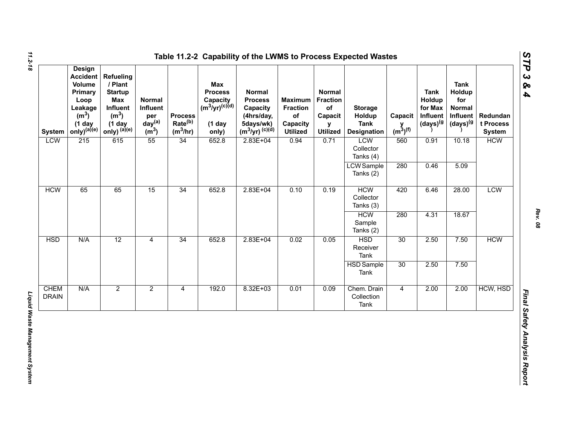| <b>System</b>               | <b>Design</b><br><b>Accident</b><br>Volume<br>Primary<br>Loop<br>Leakage<br>(m <sup>3</sup> )<br>$(1$ day<br>$only)^{(a)(e)}$ | <b>Refueling</b><br>/ Plant<br><b>Startup</b><br>Max<br>Influent<br>(m <sup>3</sup> )<br>$(1$ day<br>only) $^{(a)(e)}$ | Normal<br>Influent<br>per<br>day <sup>(a)</sup><br>(m <sup>3</sup> ) | <b>Process</b><br>Rate <sup>(b)</sup><br>$(m^3/hr)$ | <b>Max</b><br><b>Process</b><br>Capacity<br>(m <sup>3</sup> /yr) <sup>(c)(d)</sup><br>$(1$ day<br>only) | <b>Normal</b><br><b>Process</b><br>Capacity<br>(4hrs/day,<br>5days/wk)<br>$(m^3/yr)^{(c)(d)}$ | <b>Maximum</b><br><b>Fraction</b><br>of<br>Capacity<br><b>Utilized</b> | <b>Normal</b><br><b>Fraction</b><br>of<br>Capacit<br>y<br><b>Utilized</b> | <b>Storage</b><br>Holdup<br><b>Tank</b><br><b>Designation</b> | Capacit<br>$y$ <sub>(m<sup>3</sup>)<sup>(f)</sup></sub> | <b>Tank</b><br>Holdup<br>for Max<br>Influent<br>$(days)^{(g)}$ | <b>Tank</b><br>Holdup<br>for<br><b>Normal</b><br>Influent<br>(days) <sup>(g</sup> | Redundan<br>t Process<br><b>System</b> |            |
|-----------------------------|-------------------------------------------------------------------------------------------------------------------------------|------------------------------------------------------------------------------------------------------------------------|----------------------------------------------------------------------|-----------------------------------------------------|---------------------------------------------------------------------------------------------------------|-----------------------------------------------------------------------------------------------|------------------------------------------------------------------------|---------------------------------------------------------------------------|---------------------------------------------------------------|---------------------------------------------------------|----------------------------------------------------------------|-----------------------------------------------------------------------------------|----------------------------------------|------------|
| <b>LCW</b>                  | 215                                                                                                                           | 615                                                                                                                    | 55                                                                   | 34                                                  | 652.8                                                                                                   | $2.83E+04$                                                                                    | 0.94                                                                   | 0.71                                                                      | <b>LCW</b><br>Collector<br>Tanks (4)                          | 560                                                     | 0.91                                                           | 10.18                                                                             | <b>HCW</b>                             |            |
|                             |                                                                                                                               |                                                                                                                        |                                                                      |                                                     |                                                                                                         |                                                                                               |                                                                        |                                                                           | <b>LCW</b> Sample<br>Tanks (2)                                | 280                                                     | 0.46                                                           | 5.09                                                                              |                                        |            |
| <b>HCW</b>                  | 65                                                                                                                            | 65                                                                                                                     | 15                                                                   | 34                                                  | 652.8                                                                                                   |                                                                                               | $2.83E + 04$                                                           | 0.10                                                                      | 0.19                                                          | <b>HCW</b><br>Collector<br>Tanks (3)                    | 420                                                            | 6.46                                                                              | 28.00                                  | <b>LCW</b> |
|                             |                                                                                                                               |                                                                                                                        |                                                                      |                                                     |                                                                                                         |                                                                                               |                                                                        |                                                                           | <b>HCW</b><br>Sample<br>Tanks (2)                             | 280                                                     | 4.31                                                           | 18.67                                                                             |                                        |            |
| <b>HSD</b>                  | N/A                                                                                                                           | 12                                                                                                                     | $\overline{4}$                                                       | 34                                                  | 652.8                                                                                                   | $2.83E + 04$                                                                                  | 0.02                                                                   | 0.05                                                                      | <b>HSD</b><br>Receiver<br>Tank                                | 30                                                      | 2.50                                                           | 7.50                                                                              | <b>HCW</b>                             |            |
|                             |                                                                                                                               |                                                                                                                        |                                                                      |                                                     |                                                                                                         |                                                                                               |                                                                        |                                                                           | <b>HSD</b> Sample<br>Tank                                     | 30                                                      | 2.50                                                           | 7.50                                                                              |                                        |            |
| <b>CHEM</b><br><b>DRAIN</b> | N/A                                                                                                                           | $\overline{2}$                                                                                                         | $\overline{2}$                                                       | $\overline{4}$                                      | 192.0                                                                                                   | $8.32E + 03$                                                                                  | 0.01                                                                   | 0.09                                                                      | Chem. Drain<br>Collection<br>Tank                             | $\overline{4}$                                          | 2.00                                                           | 2.00                                                                              | HCW, HSD                               |            |

*Rev. 08*

*STP 3 & 4*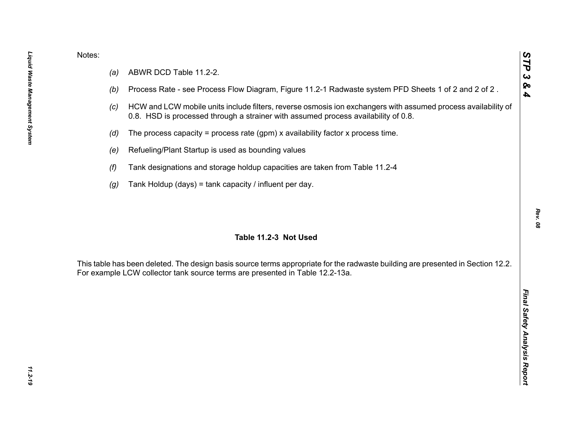- 
- 
- 
- 
- 
- 
- 

Notes:<br>
(a) ABWR DCD Table 11.2-2.<br>
(b) Process Rate - see Process Flow Diagram, Figure 11.2-1 Radwaste system PFD Sheets 1 of 2 and 2 of 2.<br>
(c) HCW and LCW mobile units include filters, reverse osmosis ion exchangers wit

*STP 3 & 4*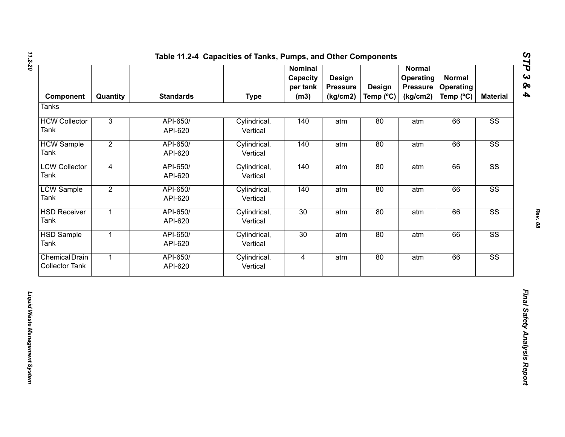| Component                                      | Quantity       | <b>Standards</b>    | <b>Type</b>              | <b>Nominal</b><br>Capacity<br>per tank<br>(m3) | Design<br><b>Pressure</b><br>(kg/cm2) | <b>Design</b><br>Temp (°C) | <b>Normal</b><br>Operating<br><b>Pressure</b><br>(kg/cm2) | <b>Normal</b><br><b>Operating</b><br>Temp (°C) | <b>Material</b>        |
|------------------------------------------------|----------------|---------------------|--------------------------|------------------------------------------------|---------------------------------------|----------------------------|-----------------------------------------------------------|------------------------------------------------|------------------------|
| <b>Tanks</b>                                   |                |                     |                          |                                                |                                       |                            |                                                           |                                                |                        |
| <b>HCW Collector</b><br>Tank                   | $\overline{3}$ | API-650/<br>API-620 | Cylindrical,<br>Vertical | 140                                            | atm                                   | 80                         | atm                                                       | 66                                             | SS                     |
| <b>HCW Sample</b><br>Tank                      | $\overline{2}$ | API-650/<br>API-620 | Cylindrical,<br>Vertical | 140                                            | atm                                   | 80                         | atm                                                       | 66                                             | $\overline{\text{SS}}$ |
| <b>LCW Collector</b><br>Tank                   | $\overline{4}$ | API-650/<br>API-620 | Cylindrical,<br>Vertical | 140                                            | atm                                   | 80                         | atm                                                       | 66                                             | $\overline{\text{SS}}$ |
| <b>LCW Sample</b><br>Tank                      | $\overline{2}$ | API-650/<br>API-620 | Cylindrical,<br>Vertical | 140                                            | atm                                   | 80                         | atm                                                       | 66                                             | $\overline{\text{SS}}$ |
| <b>HSD Receiver</b><br>Tank                    | $\overline{1}$ | API-650/<br>API-620 | Cylindrical,<br>Vertical | 30                                             | atm                                   | 80                         | atm                                                       | 66                                             | SS                     |
| <b>HSD Sample</b><br>Tank                      | $\overline{1}$ | API-650/<br>API-620 | Cylindrical,<br>Vertical | 30                                             | atm                                   | 80                         | atm                                                       | 66                                             | $\overline{\text{SS}}$ |
| <b>Chemical Drain</b><br><b>Collector Tank</b> | $\overline{1}$ | API-650/<br>API-620 | Cylindrical,<br>Vertical | $\overline{4}$                                 | atm                                   | 80                         | atm                                                       | 66                                             | SS                     |
|                                                |                |                     |                          |                                                |                                       |                            |                                                           |                                                |                        |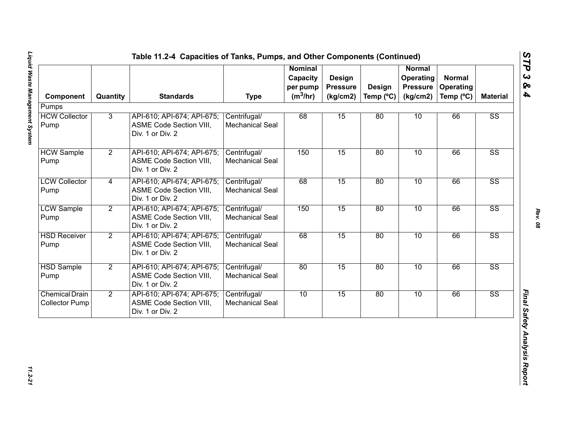| Component                                      | Quantity       | <b>Standards</b>                                                                 | <b>Type</b>                            | <b>Nominal</b><br>Capacity<br>per pump<br>$(m^3/hr)$ | Design<br><b>Pressure</b><br>(kg/cm2) | <b>Design</b><br>Temp $(^{\circ}C)$ | <b>Normal</b><br>Operating<br><b>Pressure</b><br>(kg/cm2) | <b>Normal</b><br><b>Operating</b><br>Temp (°C) | <b>Material</b>        |
|------------------------------------------------|----------------|----------------------------------------------------------------------------------|----------------------------------------|------------------------------------------------------|---------------------------------------|-------------------------------------|-----------------------------------------------------------|------------------------------------------------|------------------------|
| Pumps                                          |                |                                                                                  |                                        |                                                      |                                       |                                     |                                                           |                                                |                        |
| <b>HCW Collector</b><br>Pump                   | 3              | API-610; API-674; API-675;<br><b>ASME Code Section VIII,</b><br>Div. 1 or Div. 2 | Centrifugal/<br><b>Mechanical Seal</b> | 68                                                   | 15                                    | 80                                  | 10                                                        | 66                                             | $\overline{\text{SS}}$ |
| <b>HCW Sample</b><br>Pump                      | $\overline{2}$ | API-610; API-674; API-675;<br>ASME Code Section VIII,<br>Div. 1 or Div. 2        | Centrifugal/<br><b>Mechanical Seal</b> | 150                                                  | 15                                    | 80                                  | 10                                                        | 66                                             | $\overline{\text{SS}}$ |
| <b>LCW Collector</b><br>Pump                   | $\overline{4}$ | API-610; API-674; API-675;<br>ASME Code Section VIII,<br>Div. 1 or Div. 2        | Centrifugal/<br><b>Mechanical Seal</b> | 68                                                   | 15                                    | 80                                  | 10                                                        | 66                                             | $\overline{\text{SS}}$ |
| <b>LCW Sample</b><br>Pump                      | $\overline{2}$ | API-610; API-674; API-675;<br>ASME Code Section VIII,<br>Div. 1 or Div. 2        | Centrifugal/<br><b>Mechanical Seal</b> | 150                                                  | 15                                    | 80                                  | 10                                                        | 66                                             | $\overline{\text{SS}}$ |
| <b>HSD Receiver</b><br>Pump                    | $\overline{2}$ | API-610; API-674; API-675;<br><b>ASME Code Section VIII,</b><br>Div. 1 or Div. 2 | Centrifugal/<br><b>Mechanical Seal</b> | 68                                                   | 15                                    | 80                                  | 10                                                        | 66                                             | $\overline{\text{SS}}$ |
| <b>HSD Sample</b><br>Pump                      | $\overline{2}$ | API-610; API-674; API-675;<br><b>ASME Code Section VIII,</b><br>Div. 1 or Div. 2 | Centrifugal/<br>Mechanical Seal        | 80                                                   | 15                                    | 80                                  | 10                                                        | 66                                             | $\overline{\text{SS}}$ |
| <b>Chemical Drain</b><br><b>Collector Pump</b> | $\overline{2}$ | API-610; API-674; API-675;<br><b>ASME Code Section VIII,</b><br>Div. 1 or Div. 2 | Centrifugal/<br><b>Mechanical Seal</b> | 10                                                   | 15                                    | 80                                  | 10                                                        | 66                                             | $\overline{\text{SS}}$ |

*STP 3 & 4*

11.2-21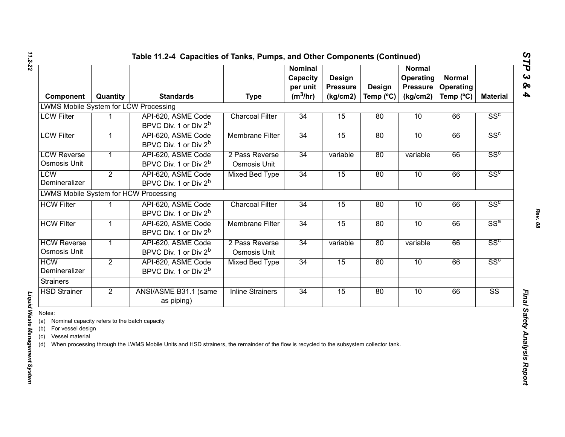| Component                                                                                                                   | Quantity       | <b>Standards</b>                                                                                                                        | <b>Type</b>                    | <b>Nominal</b><br>Capacity<br>per unit<br>$(m^3/hr)$ | Design<br><b>Pressure</b><br>(kg/cm2) | Design<br>Temp (°C) | <b>Normal</b><br><b>Operating</b><br><b>Pressure</b><br>(kg/cm2) | <b>Normal</b><br>Operating<br>Temp (°C) | <b>Material</b>        |
|-----------------------------------------------------------------------------------------------------------------------------|----------------|-----------------------------------------------------------------------------------------------------------------------------------------|--------------------------------|------------------------------------------------------|---------------------------------------|---------------------|------------------------------------------------------------------|-----------------------------------------|------------------------|
| <b>LWMS Mobile System for LCW Processing</b>                                                                                |                |                                                                                                                                         |                                |                                                      |                                       |                     |                                                                  |                                         |                        |
| <b>LCW Filter</b>                                                                                                           |                | API-620, ASME Code<br>BPVC Div. 1 or Div 2 <sup>b</sup>                                                                                 | <b>Charcoal Filter</b>         | 34                                                   | 15                                    | 80                  | 10                                                               | 66                                      | SS <sup>c</sup>        |
| <b>LCW Filter</b>                                                                                                           | 1              | API-620, ASME Code<br>BPVC Div. 1 or Div 2 <sup>b</sup>                                                                                 | <b>Membrane Filter</b>         | 34                                                   | 15                                    | 80                  | 10                                                               | 66                                      | SS <sup>c</sup>        |
| <b>LCW Reverse</b><br><b>Osmosis Unit</b>                                                                                   | 1              | API-620, ASME Code<br>BPVC Div. 1 or Div 2 <sup>b</sup>                                                                                 | 2 Pass Reverse<br>Osmosis Unit | 34                                                   | variable                              | 80                  | variable                                                         | 66                                      | SS <sup>c</sup>        |
| <b>LCW</b><br>Demineralizer                                                                                                 | $\overline{2}$ | API-620, ASME Code<br>BPVC Div. 1 or Div 2 <sup>b</sup>                                                                                 | <b>Mixed Bed Type</b>          | 34                                                   | 15                                    | 80                  | 10                                                               | 66                                      | SS <sup>c</sup>        |
| LWMS Mobile System for HCW Processing                                                                                       |                |                                                                                                                                         |                                |                                                      |                                       |                     |                                                                  |                                         |                        |
| <b>HCW Filter</b>                                                                                                           |                | API-620, ASME Code<br>BPVC Div. 1 or Div 2 <sup>b</sup>                                                                                 | <b>Charcoal Filter</b>         | 34                                                   | 15                                    | 80                  | 10                                                               | 66                                      | SS <sup>c</sup>        |
| <b>HCW Filter</b>                                                                                                           |                | API-620, ASME Code<br>BPVC Div. 1 or Div 2 <sup>b</sup>                                                                                 | <b>Membrane Filter</b>         | 34                                                   | 15                                    | 80                  | 10                                                               | 66                                      | $SS^a$                 |
| <b>HCW Reverse</b><br><b>Osmosis Unit</b>                                                                                   | $\mathbf{1}$   | API-620, ASME Code<br>BPVC Div. 1 or Div 2 <sup>b</sup>                                                                                 | 2 Pass Reverse<br>Osmosis Unit | 34                                                   | variable                              | 80                  | variable                                                         | 66                                      | SS <sup>c</sup>        |
| <b>HCW</b><br>Demineralizer                                                                                                 | $\overline{2}$ | API-620, ASME Code<br>BPVC Div. 1 or Div 2 <sup>b</sup>                                                                                 | <b>Mixed Bed Type</b>          | 34                                                   | 15                                    | 80                  | 10                                                               | 66                                      | SS <sup>c</sup>        |
| <b>Strainers</b>                                                                                                            |                |                                                                                                                                         |                                |                                                      |                                       |                     |                                                                  |                                         |                        |
| <b>HSD Strainer</b>                                                                                                         | $\overline{2}$ | ANSI/ASME B31.1 (same<br>as piping)                                                                                                     | <b>Inline Strainers</b>        | 34                                                   | 15                                    | 80                  | 10                                                               | 66                                      | $\overline{\text{SS}}$ |
| Notes:<br>Nominal capacity refers to the batch capacity<br>(a)<br>For vessel design<br>(b)<br>Vessel material<br>(c)<br>(d) |                | When processing through the LWMS Mobile Units and HSD strainers, the remainder of the flow is recycled to the subsystem collector tank. |                                |                                                      |                                       |                     |                                                                  |                                         |                        |

# Liquid Waste Management System

*Liquid Waste Management System*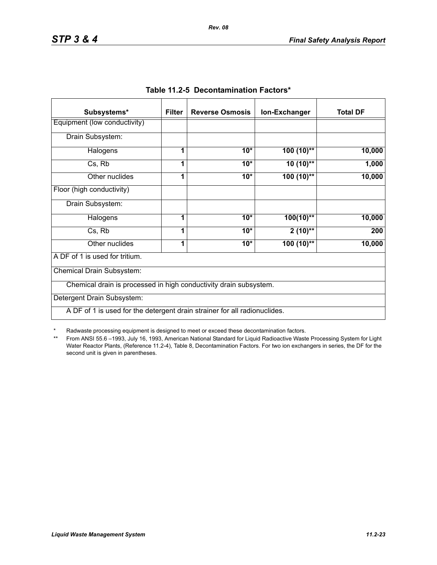| Subsystems*                                                               | <b>Filter</b> | <b>Reverse Osmosis</b> | Ion-Exchanger | <b>Total DF</b> |
|---------------------------------------------------------------------------|---------------|------------------------|---------------|-----------------|
| Equipment (low conductivity)                                              |               |                        |               |                 |
| Drain Subsystem:                                                          |               |                        |               |                 |
| Halogens                                                                  | 1             | $10*$                  | $100(10)$ **  | 10,000          |
| Cs, Rb                                                                    | 1             | $10*$                  | $10(10)$ **   | 1,000           |
| Other nuclides                                                            | 1             | $10*$                  | $100(10)$ **  | 10,000          |
| Floor (high conductivity)                                                 |               |                        |               |                 |
| Drain Subsystem:                                                          |               |                        |               |                 |
| Halogens                                                                  | 1             | $10*$                  | $100(10)$ **  | 10,000          |
| Cs, Rb                                                                    | 1             | $10*$                  | $2(10)**$     | 200             |
| Other nuclides                                                            | 1             | $10*$                  | 100 (10)**    | 10,000          |
| A DF of 1 is used for tritium.                                            |               |                        |               |                 |
| Chemical Drain Subsystem:                                                 |               |                        |               |                 |
| Chemical drain is processed in high conductivity drain subsystem.         |               |                        |               |                 |
| Detergent Drain Subsystem:                                                |               |                        |               |                 |
| A DF of 1 is used for the detergent drain strainer for all radionuclides. |               |                        |               |                 |

|  | Table 11.2-5 Decontamination Factors* |  |
|--|---------------------------------------|--|
|--|---------------------------------------|--|

\* Radwaste processing equipment is designed to meet or exceed these decontamination factors.

\*\* From ANSI 55.6 –1993, July 16, 1993, American National Standard for Liquid Radioactive Waste Processing System for Light Water Reactor Plants, (Reference 11.2-4), Table 8, Decontamination Factors. For two ion exchangers in series, the DF for the second unit is given in parentheses.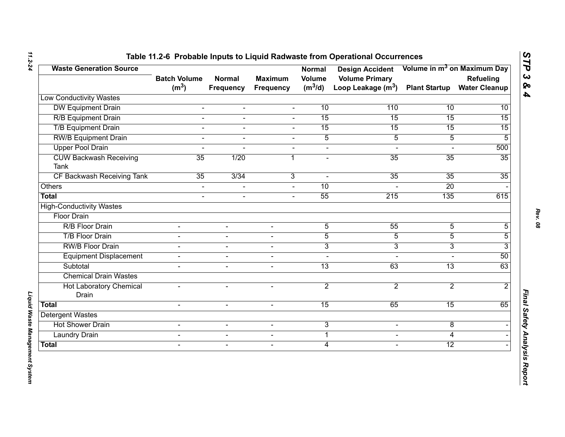| <b>Waste Generation Source</b>          | <b>Batch Volume</b> | <b>Normal</b>    | <b>Maximum</b>           | <b>Normal</b><br><b>Volume</b> | <b>Design Accident</b><br><b>Volume Primary</b> |                      | Volume in m <sup>3</sup> on Maximum Day<br>Refueling |
|-----------------------------------------|---------------------|------------------|--------------------------|--------------------------------|-------------------------------------------------|----------------------|------------------------------------------------------|
|                                         | (m <sup>3</sup> )   | <b>Frequency</b> | <b>Frequency</b>         | $(m^3/d)$                      | Loop Leakage $(m^3)$                            | <b>Plant Startup</b> | <b>Water Cleanup</b>                                 |
| <b>Low Conductivity Wastes</b>          |                     |                  |                          |                                |                                                 |                      |                                                      |
| <b>DW Equipment Drain</b>               | $\blacksquare$      | $\blacksquare$   | $\blacksquare$           | 10                             | 110                                             | 10                   | 10                                                   |
| <b>R/B Equipment Drain</b>              | $\overline{a}$      | $\blacksquare$   | $\overline{a}$           | 15                             | 15                                              | 15                   | $\overline{15}$                                      |
| <b>T/B Equipment Drain</b>              | $\blacksquare$      | $\blacksquare$   | $\blacksquare$           | 15                             | 15                                              | 15                   | 15                                                   |
| <b>RW/B Equipment Drain</b>             | L.                  |                  |                          | $\overline{5}$                 | $\overline{5}$                                  | $\overline{5}$       | 5                                                    |
| <b>Upper Pool Drain</b>                 | $\overline{a}$      |                  | $\blacksquare$           | $\blacksquare$                 | $\blacksquare$                                  |                      | 500                                                  |
| <b>CUW Backwash Receiving</b><br>Tank   | 35                  | 1/20             | 1                        | $\blacksquare$                 | 35                                              | 35                   | 35                                                   |
| CF Backwash Receiving Tank              | 35                  | 3/34             | 3                        | $\sim$                         | 35                                              | $\overline{35}$      | 35                                                   |
| Others                                  | $\blacksquare$      |                  |                          | 10                             |                                                 | 20                   |                                                      |
| <b>Total</b>                            | $\overline{a}$      | $\blacksquare$   | $\sim$                   | 55                             | 215                                             | 135                  | 615                                                  |
| <b>High-Conductivity Wastes</b>         |                     |                  |                          |                                |                                                 |                      |                                                      |
| <b>Floor Drain</b>                      |                     |                  |                          |                                |                                                 |                      |                                                      |
| R/B Floor Drain                         |                     |                  |                          | $\overline{5}$                 | 55                                              | $\overline{5}$       | 5                                                    |
| <b>T/B Floor Drain</b>                  | $\blacksquare$      | $\sim$           | $\blacksquare$           | $\overline{5}$                 | $\overline{5}$                                  | $\overline{5}$       | 5                                                    |
| <b>RW/B Floor Drain</b>                 |                     | $\sim$           | $\overline{\phantom{0}}$ | $\overline{3}$                 | $\overline{3}$                                  | 3                    | 3                                                    |
| <b>Equipment Displacement</b>           | $\blacksquare$      | $\blacksquare$   | $\sim$                   | $\blacksquare$                 | $\sim$                                          | $\overline{a}$       | 50                                                   |
| Subtotal                                |                     | $\blacksquare$   | $\blacksquare$           | $\overline{13}$                | 63                                              | $\overline{13}$      | 63                                                   |
| <b>Chemical Drain Wastes</b>            |                     |                  |                          |                                |                                                 |                      |                                                      |
| <b>Hot Laboratory Chemical</b><br>Drain | $\blacksquare$      | $\sim$           | $\overline{\phantom{0}}$ | $\overline{2}$                 | $\overline{2}$                                  | $\overline{2}$       | $\overline{2}$                                       |
| <b>Total</b>                            | $\overline{a}$      | $\mathbf{r}$     | $\sim$                   | 15                             | 65                                              | 15                   | 65                                                   |
| <b>Detergent Wastes</b>                 |                     |                  |                          |                                |                                                 |                      |                                                      |
| <b>Hot Shower Drain</b>                 | $\blacksquare$      | $\blacksquare$   | $\blacksquare$           | 3                              | $\blacksquare$                                  | 8                    |                                                      |
| <b>Laundry Drain</b>                    | $\blacksquare$      | $\blacksquare$   | $\blacksquare$           | $\mathbf{1}$                   | $\blacksquare$                                  | 4                    |                                                      |
| <b>Total</b>                            | $\blacksquare$      | $\sim$           | $\overline{\phantom{a}}$ | $\overline{4}$                 | $\blacksquare$                                  | $\overline{12}$      |                                                      |

*STP 3 & 4*